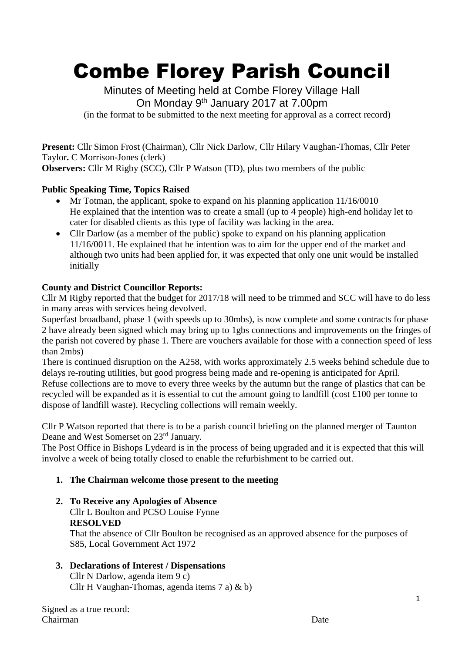# Combe Florey Parish Council

Minutes of Meeting held at Combe Florey Village Hall On Monday 9<sup>th</sup> January 2017 at 7.00pm (in the format to be submitted to the next meeting for approval as a correct record)

**Present:** Cllr Simon Frost (Chairman), Cllr Nick Darlow, Cllr Hilary Vaughan-Thomas, Cllr Peter Taylor**.** C Morrison-Jones (clerk) **Observers:** Cllr M Rigby (SCC), Cllr P Watson (TD), plus two members of the public

## **Public Speaking Time, Topics Raised**

- $\bullet$  Mr Totman, the applicant, spoke to expand on his planning application 11/16/0010 He explained that the intention was to create a small (up to 4 people) high-end holiday let to cater for disabled clients as this type of facility was lacking in the area.
- Cllr Darlow (as a member of the public) spoke to expand on his planning application 11/16/0011. He explained that he intention was to aim for the upper end of the market and although two units had been applied for, it was expected that only one unit would be installed initially

## **County and District Councillor Reports:**

Cllr M Rigby reported that the budget for 2017/18 will need to be trimmed and SCC will have to do less in many areas with services being devolved.

Superfast broadband, phase 1 (with speeds up to 30mbs), is now complete and some contracts for phase 2 have already been signed which may bring up to 1gbs connections and improvements on the fringes of the parish not covered by phase 1. There are vouchers available for those with a connection speed of less than 2mbs)

There is continued disruption on the A258, with works approximately 2.5 weeks behind schedule due to delays re-routing utilities, but good progress being made and re-opening is anticipated for April. Refuse collections are to move to every three weeks by the autumn but the range of plastics that can be recycled will be expanded as it is essential to cut the amount going to landfill (cost £100 per tonne to dispose of landfill waste). Recycling collections will remain weekly.

Cllr P Watson reported that there is to be a parish council briefing on the planned merger of Taunton Deane and West Somerset on 23<sup>rd</sup> January.

The Post Office in Bishops Lydeard is in the process of being upgraded and it is expected that this will involve a week of being totally closed to enable the refurbishment to be carried out.

## **1. The Chairman welcome those present to the meeting**

**2. To Receive any Apologies of Absence** Cllr L Boulton and PCSO Louise Fynne **RESOLVED**

 That the absence of Cllr Boulton be recognised as an approved absence for the purposes of S85, Local Government Act 1972

## **3. Declarations of Interest / Dispensations**

Cllr N Darlow, agenda item 9 c) Cllr H Vaughan-Thomas, agenda items 7 a) & b)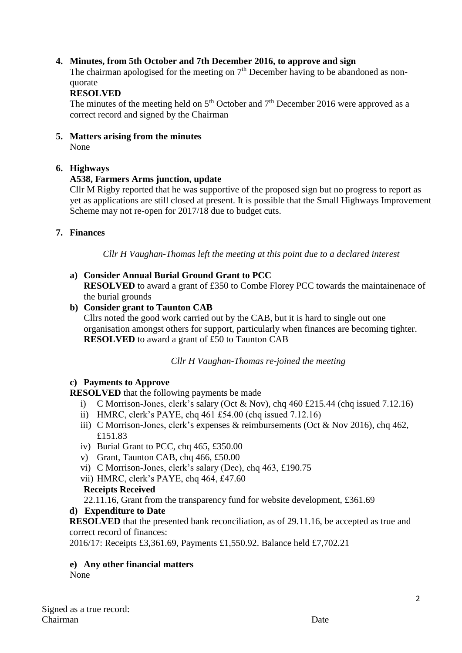## **4. Minutes, from 5th October and 7th December 2016, to approve and sign**

The chairman apologised for the meeting on  $7<sup>th</sup>$  December having to be abandoned as nonquorate

#### **RESOLVED**

The minutes of the meeting held on  $5<sup>th</sup>$  October and  $7<sup>th</sup>$  December 2016 were approved as a correct record and signed by the Chairman

**5. Matters arising from the minutes**  None

#### **6. Highways**

#### **A538, Farmers Arms junction, update**

 Cllr M Rigby reported that he was supportive of the proposed sign but no progress to report as yet as applications are still closed at present. It is possible that the Small Highways Improvement Scheme may not re-open for 2017/18 due to budget cuts.

#### **7. Finances**

*Cllr H Vaughan-Thomas left the meeting at this point due to a declared interest*

#### **a) Consider Annual Burial Ground Grant to PCC**

**RESOLVED** to award a grant of £350 to Combe Florey PCC towards the maintainenace of the burial grounds

#### **b) Consider grant to Taunton CAB**

Cllrs noted the good work carried out by the CAB, but it is hard to single out one organisation amongst others for support, particularly when finances are becoming tighter. **RESOLVED** to award a grant of £50 to Taunton CAB

#### *Cllr H Vaughan-Thomas re-joined the meeting*

## **c) Payments to Approve**

**RESOLVED** that the following payments be made

- i) C Morrison-Jones, clerk's salary (Oct & Nov), chq 460 £215.44 (chq issued 7.12.16)
- ii) HMRC, clerk's PAYE, chq 461 £54.00 (chq issued 7.12.16)
- iii) C Morrison-Jones, clerk's expenses & reimbursements (Oct & Nov 2016), chq 462, £151.83
- iv) Burial Grant to PCC, chq 465, £350.00
- v) Grant, Taunton CAB, chq 466, £50.00
- vi) C Morrison-Jones, clerk's salary (Dec), chq 463, £190.75
- vii) HMRC, clerk's PAYE, chq 464, £47.60

#### **Receipts Received**

22.11.16, Grant from the transparency fund for website development, £361.69

## **d) Expenditure to Date**

**RESOLVED** that the presented bank reconciliation, as of 29.11.16, be accepted as true and correct record of finances:

2016/17: Receipts £3,361.69, Payments £1,550.92. Balance held £7,702.21

#### **e) Any other financial matters**

None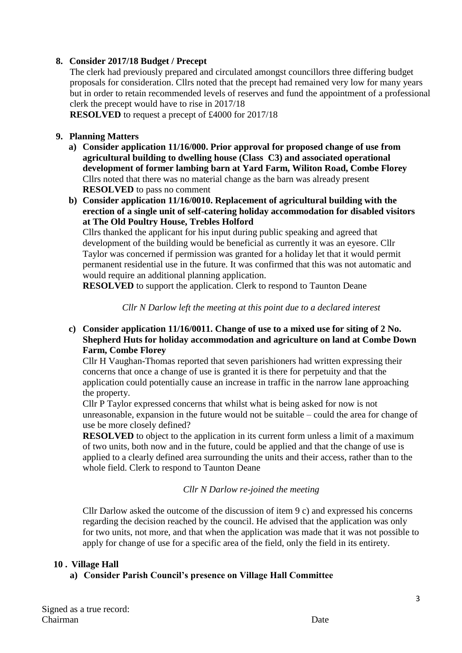## **8. Consider 2017/18 Budget / Precept**

The clerk had previously prepared and circulated amongst councillors three differing budget proposals for consideration. Cllrs noted that the precept had remained very low for many years but in order to retain recommended levels of reserves and fund the appointment of a professional clerk the precept would have to rise in 2017/18

**RESOLVED** to request a precept of £4000 for 2017/18

## **9. Planning Matters**

- **a) Consider application 11/16/000. Prior approval for proposed change of use from agricultural building to dwelling house (Class C3) and associated operational development of former lambing barn at Yard Farm, Wiliton Road, Combe Florey** Cllrs noted that there was no material change as the barn was already present **RESOLVED** to pass no comment
- **b) Consider application 11/16/0010. Replacement of agricultural building with the erection of a single unit of self-catering holiday accommodation for disabled visitors at The Old Poultry House, Trebles Holford**

Cllrs thanked the applicant for his input during public speaking and agreed that development of the building would be beneficial as currently it was an eyesore. Cllr Taylor was concerned if permission was granted for a holiday let that it would permit permanent residential use in the future. It was confirmed that this was not automatic and would require an additional planning application.

**RESOLVED** to support the application. Clerk to respond to Taunton Deane

*Cllr N Darlow left the meeting at this point due to a declared interest*

## **c) Consider application 11/16/0011. Change of use to a mixed use for siting of 2 No. Shepherd Huts for holiday accommodation and agriculture on land at Combe Down Farm, Combe Florey**

Cllr H Vaughan-Thomas reported that seven parishioners had written expressing their concerns that once a change of use is granted it is there for perpetuity and that the application could potentially cause an increase in traffic in the narrow lane approaching the property.

Cllr P Taylor expressed concerns that whilst what is being asked for now is not unreasonable, expansion in the future would not be suitable – could the area for change of use be more closely defined?

**RESOLVED** to object to the application in its current form unless a limit of a maximum of two units, both now and in the future, could be applied and that the change of use is applied to a clearly defined area surrounding the units and their access, rather than to the whole field. Clerk to respond to Taunton Deane

*Cllr N Darlow re-joined the meeting*

Cllr Darlow asked the outcome of the discussion of item 9 c) and expressed his concerns regarding the decision reached by the council. He advised that the application was only for two units, not more, and that when the application was made that it was not possible to apply for change of use for a specific area of the field, only the field in its entirety.

#### **10 . Village Hall**

## **a) Consider Parish Council's presence on Village Hall Committee**